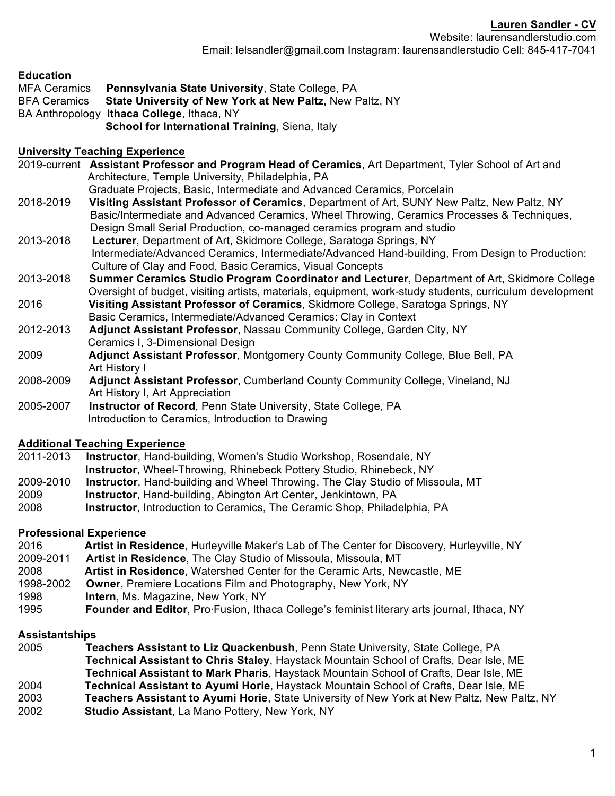Website: laurensandlerstudio.com Email: lelsandler@gmail.com Instagram: laurensandlerstudio Cell: 845-417-7041

#### **Education**

MFA Ceramics **Pennsylvania State University**, State College, PA BFA Ceramics **State University of New York at New Paltz,** New Paltz, NY BA Anthropology **Ithaca College**, Ithaca, NY **School for International Training**, Siena, Italy

#### **University Teaching Experience**

2019-current **Assistant Professor and Program Head of Ceramics**, Art Department, Tyler School of Art and Architecture, Temple University, Philadelphia, PA Graduate Projects, Basic, Intermediate and Advanced Ceramics, Porcelain 2018-2019 **Visiting Assistant Professor of Ceramics**, Department of Art, SUNY New Paltz, New Paltz, NY Basic/Intermediate and Advanced Ceramics, Wheel Throwing, Ceramics Processes & Techniques, Design Small Serial Production, co-managed ceramics program and studio 2013-2018 **Lecturer**, Department of Art, Skidmore College, Saratoga Springs, NY Intermediate/Advanced Ceramics, Intermediate/Advanced Hand-building, From Design to Production: Culture of Clay and Food, Basic Ceramics, Visual Concepts 2013-2018 **Summer Ceramics Studio Program Coordinator and Lecturer**, Department of Art, Skidmore College Oversight of budget, visiting artists, materials, equipment, work-study students, curriculum development 2016 **Visiting Assistant Professor of Ceramics**, Skidmore College, Saratoga Springs, NY Basic Ceramics, Intermediate/Advanced Ceramics: Clay in Context 2012-2013 **Adjunct Assistant Professor**, Nassau Community College, Garden City, NY

- Ceramics I, 3-Dimensional Design 2009 **Adjunct Assistant Professor**, Montgomery County Community College, Blue Bell, PA
- Art History I
- 2008-2009 **Adjunct Assistant Professor**, Cumberland County Community College, Vineland, NJ Art History I, Art Appreciation
- 2005-2007 **Instructor of Record**, Penn State University, State College, PA Introduction to Ceramics, Introduction to Drawing

### **Additional Teaching Experience**

2011-2013 **Instructor**, Hand-building, Women's Studio Workshop, Rosendale, NY **Instructor**, Wheel-Throwing, Rhinebeck Pottery Studio, Rhinebeck, NY 2009-2010 **Instructor**, Hand-building and Wheel Throwing, The Clay Studio of Missoula, MT 2009 **Instructor**, Hand-building, Abington Art Center, Jenkintown, PA

2008 **Instructor**, Introduction to Ceramics, The Ceramic Shop, Philadelphia, PA

### **Professional Experience**

| 2016      | Artist in Residence, Hurleyville Maker's Lab of The Center for Discovery, Hurleyville, NY   |
|-----------|---------------------------------------------------------------------------------------------|
| 2009-2011 | Artist in Residence, The Clay Studio of Missoula, Missoula, MT                              |
| 2008      | Artist in Residence, Watershed Center for the Ceramic Arts, Newcastle, ME                   |
| 1998-2002 | <b>Owner, Premiere Locations Film and Photography, New York, NY</b>                         |
| 1998      | <b>Intern, Ms. Magazine, New York, NY</b>                                                   |
| 1995      | Founder and Editor, Pro Fusion, Ithaca College's feminist literary arts journal, Ithaca, NY |

#### **Assistantships**

**Teachers Assistant to Liz Quackenbush**, Penn State University, State College, PA **Technical Assistant to Chris Staley**, Haystack Mountain School of Crafts, Dear Isle, ME **Technical Assistant to Mark Pharis**, Haystack Mountain School of Crafts, Dear Isle, ME **Technical Assistant to Ayumi Horie**, Haystack Mountain School of Crafts, Dear Isle, ME **Teachers Assistant to Ayumi Horie**, State University of New York at New Paltz, New Paltz, NY **Studio Assistant**, La Mano Pottery, New York, NY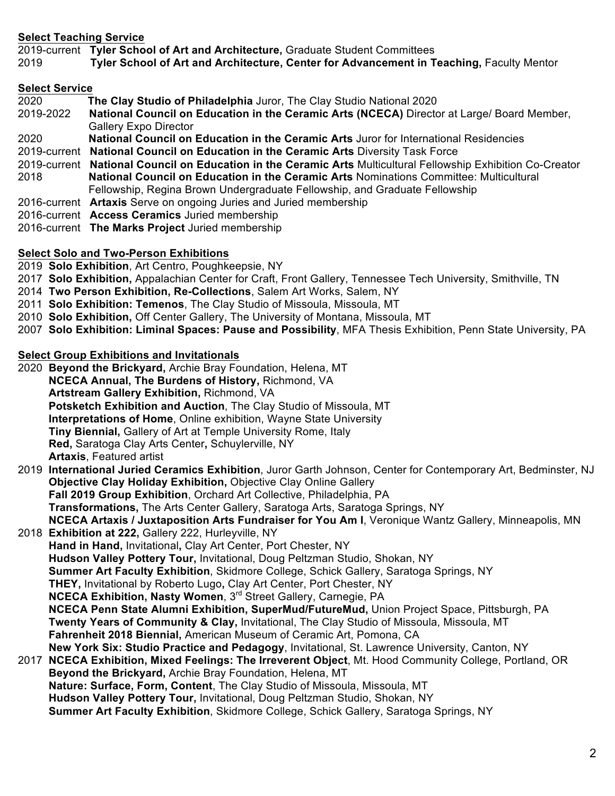### **Select Teaching Service**

2019-current **Tyler School of Art and Architecture,** Graduate Student Committees

2019 **Tyler School of Art and Architecture, Center for Advancement in Teaching,** Faculty Mentor

#### **Select Service**

| 2020      | The Clay Studio of Philadelphia Juror, The Clay Studio National 2020                                          |
|-----------|---------------------------------------------------------------------------------------------------------------|
| 2019-2022 | National Council on Education in the Ceramic Arts (NCECA) Director at Large/ Board Member,                    |
|           | <b>Gallery Expo Director</b>                                                                                  |
| 2020      | National Council on Education in the Ceramic Arts Juror for International Residencies                         |
|           | 2019-current National Council on Education in the Ceramic Arts Diversity Task Force                           |
|           | 2019-current National Council on Education in the Ceramic Arts Multicultural Fellowship Exhibition Co-Creator |
| 2018      | National Council on Education in the Ceramic Arts Nominations Committee: Multicultural                        |
|           | Fellowship, Regina Brown Undergraduate Fellowship, and Graduate Fellowship                                    |
|           | 2016-current Artaxis Serve on ongoing Juries and Juried membership                                            |
|           | 2016-current Access Ceramics Juried membership                                                                |
|           | 2016-current The Marks Project Juried membership                                                              |
|           |                                                                                                               |

## **Select Solo and Two-Person Exhibitions**

2019 **Solo Exhibition**, Art Centro, Poughkeepsie, NY

- 2017 **Solo Exhibition,** Appalachian Center for Craft, Front Gallery, Tennessee Tech University, Smithville, TN
- 2014 **Two Person Exhibition, Re-Collections**, Salem Art Works, Salem, NY
- 2011 **Solo Exhibition: Temenos**, The Clay Studio of Missoula, Missoula, MT
- 2010 **Solo Exhibition,** Off Center Gallery, The University of Montana, Missoula, MT
- 2007 **Solo Exhibition: Liminal Spaces: Pause and Possibility**, MFA Thesis Exhibition, Penn State University, PA

## **Select Group Exhibitions and Invitationals**

2020 **Beyond the Brickyard,** Archie Bray Foundation, Helena, MT  **NCECA Annual, The Burdens of History,** Richmond, VA  **Artstream Gallery Exhibition,** Richmond, VA **Potsketch Exhibition and Auction**, The Clay Studio of Missoula, MT  **Interpretations of Home**, Online exhibition, Wayne State University **Tiny Biennial,** Gallery of Art at Temple University Rome, Italy  **Red,** Saratoga Clay Arts Center**,** Schuylerville, NY  **Artaxis**, Featured artist

- 2019 **International Juried Ceramics Exhibition**, Juror Garth Johnson, Center for Contemporary Art, Bedminster, NJ  **Objective Clay Holiday Exhibition,** Objective Clay Online Gallery **Fall 2019 Group Exhibition**, Orchard Art Collective, Philadelphia, PA **Transformations,** The Arts Center Gallery, Saratoga Arts, Saratoga Springs, NY **NCECA Artaxis / Juxtaposition Arts Fundraiser for You Am I**, Veronique Wantz Gallery, Minneapolis, MN
- 2018 **Exhibition at 222,** Gallery 222, Hurleyville, NY  **Hand in Hand,** Invitational**,** Clay Art Center, Port Chester, NY  **Hudson Valley Pottery Tour,** Invitational, Doug Peltzman Studio, Shokan, NY  **Summer Art Faculty Exhibition**, Skidmore College, Schick Gallery, Saratoga Springs, NY  **THEY,** Invitational by Roberto Lugo**,** Clay Art Center, Port Chester, NY **NCECA Exhibition, Nasty Women, 3<sup>rd</sup> Street Gallery, Carnegie, PA NCECA Penn State Alumni Exhibition, SuperMud/FutureMud,** Union Project Space, Pittsburgh, PA **Twenty Years of Community & Clay,** Invitational, The Clay Studio of Missoula, Missoula, MT  **Fahrenheit 2018 Biennial,** American Museum of Ceramic Art, Pomona, CA **New York Six: Studio Practice and Pedagogy**, Invitational, St. Lawrence University, Canton, NY 2017 **NCECA Exhibition, Mixed Feelings: The Irreverent Object**, Mt. Hood Community College, Portland, OR

 **Beyond the Brickyard,** Archie Bray Foundation, Helena, MT **Nature: Surface, Form, Content**, The Clay Studio of Missoula, Missoula, MT **Hudson Valley Pottery Tour,** Invitational, Doug Peltzman Studio, Shokan, NY  **Summer Art Faculty Exhibition**, Skidmore College, Schick Gallery, Saratoga Springs, NY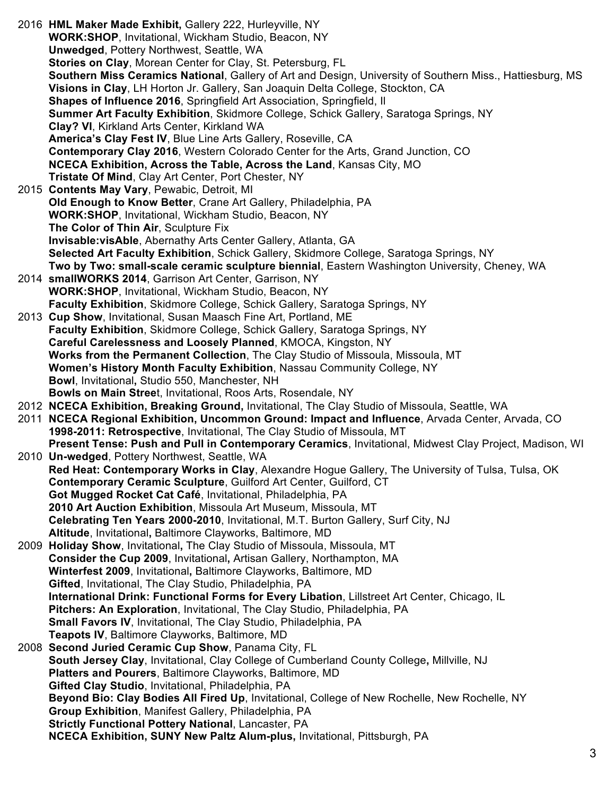2016 **HML Maker Made Exhibit,** Gallery 222, Hurleyville, NY  **WORK:SHOP**, Invitational, Wickham Studio, Beacon, NY  **Unwedged**, Pottery Northwest, Seattle, WA **Stories on Clay**, Morean Center for Clay, St. Petersburg, FL **Southern Miss Ceramics National**, Gallery of Art and Design, University of Southern Miss., Hattiesburg, MS  **Visions in Clay**, LH Horton Jr. Gallery, San Joaquin Delta College, Stockton, CA **Shapes of Influence 2016**, Springfield Art Association, Springfield, Il **Summer Art Faculty Exhibition**, Skidmore College, Schick Gallery, Saratoga Springs, NY  **Clay? VI**, Kirkland Arts Center, Kirkland WA **America's Clay Fest IV**, Blue Line Arts Gallery, Roseville, CA **Contemporary Clay 2016**, Western Colorado Center for the Arts, Grand Junction, CO **NCECA Exhibition, Across the Table, Across the Land**, Kansas City, MO  **Tristate Of Mind**, Clay Art Center, Port Chester, NY 2015 **Contents May Vary**, Pewabic, Detroit, MI **Old Enough to Know Better**, Crane Art Gallery, Philadelphia, PA **WORK:SHOP**, Invitational, Wickham Studio, Beacon, NY **The Color of Thin Air**, Sculpture Fix **Invisable:visAble**, Abernathy Arts Center Gallery, Atlanta, GA  **Selected Art Faculty Exhibition**, Schick Gallery, Skidmore College, Saratoga Springs, NY  **Two by Two: small-scale ceramic sculpture biennial**, Eastern Washington University, Cheney, WA 2014 **smallWORKS 2014**, Garrison Art Center, Garrison, NY **WORK:SHOP**, Invitational, Wickham Studio, Beacon, NY **Faculty Exhibition**, Skidmore College, Schick Gallery, Saratoga Springs, NY 2013 **Cup Show**, Invitational, Susan Maasch Fine Art, Portland, ME **Faculty Exhibition**, Skidmore College, Schick Gallery, Saratoga Springs, NY **Careful Carelessness and Loosely Planned**, KMOCA, Kingston, NY **Works from the Permanent Collection**, The Clay Studio of Missoula, Missoula, MT  **Women's History Month Faculty Exhibition**, Nassau Community College, NY **Bowl**, Invitational**,** Studio 550, Manchester, NH **Bowls on Main Stree**t, Invitational, Roos Arts, Rosendale, NY 2012 **NCECA Exhibition, Breaking Ground,** Invitational, The Clay Studio of Missoula, Seattle, WA 2011 **NCECA Regional Exhibition, Uncommon Ground: Impact and Influence**, Arvada Center, Arvada, CO **1998-2011: Retrospective**, Invitational, The Clay Studio of Missoula, MT **Present Tense: Push and Pull in Contemporary Ceramics**, Invitational, Midwest Clay Project, Madison, WI 2010 **Un-wedged**, Pottery Northwest, Seattle, WA **Red Heat: Contemporary Works in Clay**, Alexandre Hogue Gallery, The University of Tulsa, Tulsa, OK **Contemporary Ceramic Sculpture**, Guilford Art Center, Guilford, CT **Got Mugged Rocket Cat Café**, Invitational, Philadelphia, PA **2010 Art Auction Exhibition**, Missoula Art Museum, Missoula, MT **Celebrating Ten Years 2000-2010**, Invitational, M.T. Burton Gallery, Surf City, NJ **Altitude**, Invitational**,** Baltimore Clayworks, Baltimore, MD 2009 **Holiday Show**, Invitational**,** The Clay Studio of Missoula, Missoula, MT **Consider the Cup 2009**, Invitational**,** Artisan Gallery, Northampton, MA **Winterfest 2009**, Invitational**,** Baltimore Clayworks, Baltimore, MD **Gifted**, Invitational, The Clay Studio, Philadelphia, PA **International Drink: Functional Forms for Every Libation**, Lillstreet Art Center, Chicago, IL **Pitchers: An Exploration**, Invitational, The Clay Studio, Philadelphia, PA **Small Favors IV**, Invitational, The Clay Studio, Philadelphia, PA **Teapots IV**, Baltimore Clayworks, Baltimore, MD 2008 **Second Juried Ceramic Cup Show**, Panama City, FL **South Jersey Clay**, Invitational, Clay College of Cumberland County College**,** Millville, NJ **Platters and Pourers**, Baltimore Clayworks, Baltimore, MD **Gifted Clay Studio**, Invitational, Philadelphia, PA **Beyond Bio: Clay Bodies All Fired Up**, Invitational, College of New Rochelle, New Rochelle, NY **Group Exhibition**, Manifest Gallery, Philadelphia, PA **Strictly Functional Pottery National**, Lancaster, PA **NCECA Exhibition, SUNY New Paltz Alum-plus,** Invitational, Pittsburgh, PA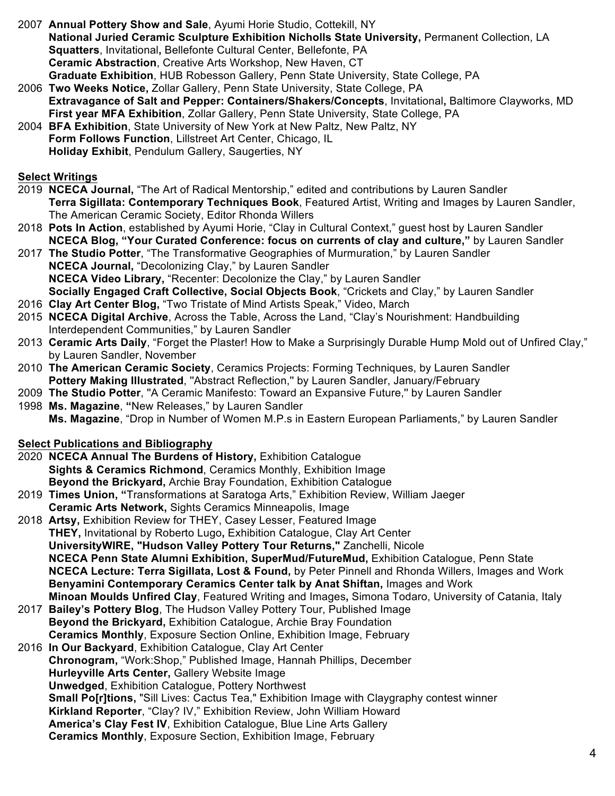- 2007 **Annual Pottery Show and Sale**, Ayumi Horie Studio, Cottekill, NY **National Juried Ceramic Sculpture Exhibition Nicholls State University,** Permanent Collection, LA **Squatters**, Invitational**,** Bellefonte Cultural Center, Bellefonte, PA **Ceramic Abstraction**, Creative Arts Workshop, New Haven, CT **Graduate Exhibition**, HUB Robesson Gallery, Penn State University, State College, PA
- 2006 **Two Weeks Notice,** Zollar Gallery, Penn State University, State College, PA  **Extravagance of Salt and Pepper: Containers/Shakers/Concepts**, Invitational**,** Baltimore Clayworks, MD  **First year MFA Exhibition**, Zollar Gallery, Penn State University, State College, PA
- 2004 **BFA Exhibition**, State University of New York at New Paltz, New Paltz, NY **Form Follows Function**, Lillstreet Art Center, Chicago, IL **Holiday Exhibit**, Pendulum Gallery, Saugerties, NY

### **Select Writings**

- 2019 **NCECA Journal,** "The Art of Radical Mentorship," edited and contributions by Lauren Sandler  **Terra Sigillata: Contemporary Techniques Book**, Featured Artist, Writing and Images by Lauren Sandler, The American Ceramic Society, Editor Rhonda Willers
- 2018 **Pots In Action**, established by Ayumi Horie, "Clay in Cultural Context," guest host by Lauren Sandler  **NCECA Blog, "Your Curated Conference: focus on currents of clay and culture,"** by Lauren Sandler
- 2017 **The Studio Potter**, "The Transformative Geographies of Murmuration," by Lauren Sandler  **NCECA Journal,** "Decolonizing Clay," by Lauren Sandler  **NCECA Video Library,** "Recenter: Decolonize the Clay," by Lauren Sandler **Socially Engaged Craft Collective, Social Objects Book**, "Crickets and Clay," by Lauren Sandler
- 2016 **Clay Art Center Blog,** "Two Tristate of Mind Artists Speak," Video, March
- 2015 **NCECA Digital Archive**, Across the Table, Across the Land, "Clay's Nourishment: Handbuilding Interdependent Communities," by Lauren Sandler
- 2013 **Ceramic Arts Daily**, "Forget the Plaster! How to Make a Surprisingly Durable Hump Mold out of Unfired Clay," by Lauren Sandler, November
- 2010 **The American Ceramic Society**, Ceramics Projects: Forming Techniques, by Lauren Sandler **Pottery Making Illustrated**, ''Abstract Reflection,'' by Lauren Sandler, January/February
- 2009 **The Studio Potter**, ''A Ceramic Manifesto: Toward an Expansive Future,'' by Lauren Sandler
- 1998 **Ms. Magazine**, **"**New Releases," by Lauren Sandler **Ms. Magazine**, "Drop in Number of Women M.P.s in Eastern European Parliaments," by Lauren Sandler

## **Select Publications and Bibliography**

- 2020 **NCECA Annual The Burdens of History,** Exhibition Catalogue **Sights & Ceramics Richmond**, Ceramics Monthly, Exhibition Image **Beyond the Brickyard,** Archie Bray Foundation, Exhibition Catalogue
- 2019 **Times Union, "**Transformations at Saratoga Arts," Exhibition Review, William Jaeger **Ceramic Arts Network,** Sights Ceramics Minneapolis, Image
- 2018 **Artsy,** Exhibition Review for THEY, Casey Lesser, Featured Image  **THEY,** Invitational by Roberto Lugo**,** Exhibition Catalogue, Clay Art Center  **UniversityWIRE, "Hudson Valley Pottery Tour Returns,"** Zanchelli, Nicole **NCECA Penn State Alumni Exhibition, SuperMud/FutureMud,** Exhibition Catalogue, Penn State  **NCECA Lecture: Terra Sigillata, Lost & Found,** by Peter Pinnell and Rhonda Willers, Images and Work  **Benyamini Contemporary Ceramics Center talk by Anat Shiftan,** Images and Work  **Minoan Moulds Unfired Clay**, Featured Writing and Images**,** Simona Todaro, University of Catania, Italy
- 2017 **Bailey's Pottery Blog**, The Hudson Valley Pottery Tour, Published Image **Beyond the Brickyard,** Exhibition Catalogue, Archie Bray Foundation  **Ceramics Monthly**, Exposure Section Online, Exhibition Image, February
- 2016 **In Our Backyard**, Exhibition Catalogue, Clay Art Center **Chronogram,** "Work:Shop," Published Image, Hannah Phillips, December  **Hurleyville Arts Center,** Gallery Website Image **Unwedged**, Exhibition Catalogue, Pottery Northwest **Small Po[r]tions,** "Sill Lives: Cactus Tea," Exhibition Image with Claygraphy contest winner **Kirkland Reporter**, "Clay? IV," Exhibition Review, John William Howard **America's Clay Fest IV**, Exhibition Catalogue, Blue Line Arts Gallery  **Ceramics Monthly**, Exposure Section, Exhibition Image, February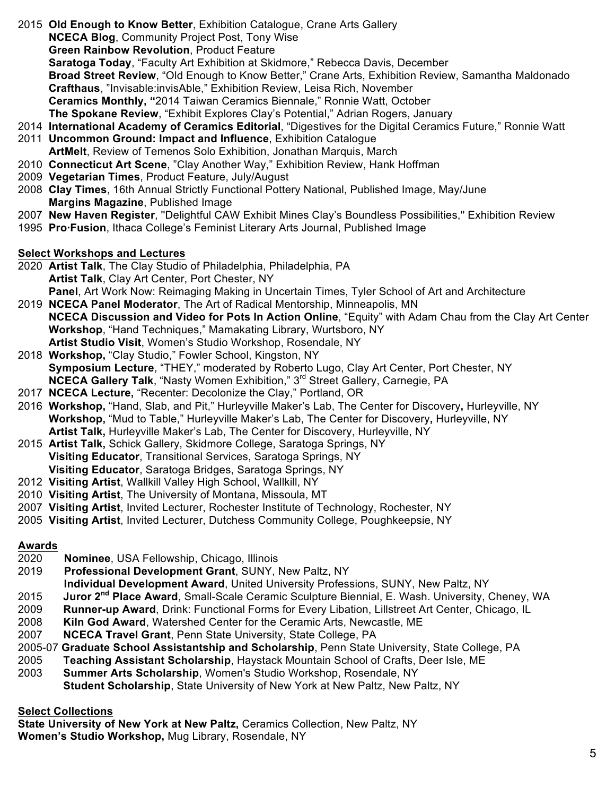- 2015 **Old Enough to Know Better**, Exhibition Catalogue, Crane Arts Gallery
	- **NCECA Blog**, Community Project Post, Tony Wise
	- **Green Rainbow Revolution**, Product Feature
	- **Saratoga Today**, "Faculty Art Exhibition at Skidmore," Rebecca Davis, December

 **Broad Street Review**, "Old Enough to Know Better," Crane Arts, Exhibition Review, Samantha Maldonado **Crafthaus**, "Invisable:invisAble," Exhibition Review, Leisa Rich, November

**Ceramics Monthly, "**2014 Taiwan Ceramics Biennale," Ronnie Watt, October

- **The Spokane Review**, "Exhibit Explores Clay's Potential," Adrian Rogers, January
- 2014 **International Academy of Ceramics Editorial**, "Digestives for the Digital Ceramics Future," Ronnie Watt 2011 **Uncommon Ground: Impact and Influence**, Exhibition Catalogue
	- **ArtMelt**, Review of Temenos Solo Exhibition, Jonathan Marquis, March
- 2010 **Connecticut Art Scene**, "Clay Another Way," Exhibition Review, Hank Hoffman
- 2009 **Vegetarian Times**, Product Feature, July/August
- 2008 **Clay Times**, 16th Annual Strictly Functional Pottery National, Published Image, May/June **Margins Magazine**, Published Image
- 2007 **New Haven Register**, ''Delightful CAW Exhibit Mines Clay's Boundless Possibilities,'' Exhibition Review
- 1995 **Pro·Fusion**, Ithaca College's Feminist Literary Arts Journal, Published Image

# **Select Workshops and Lectures**

- 2020 **Artist Talk**, The Clay Studio of Philadelphia, Philadelphia, PA **Artist Talk**, Clay Art Center, Port Chester, NY **Panel**, Art Work Now: Reimaging Making in Uncertain Times, Tyler School of Art and Architecture
- 2019 **NCECA Panel Moderator**, The Art of Radical Mentorship, Minneapolis, MN **NCECA Discussion and Video for Pots In Action Online**, "Equity" with Adam Chau from the Clay Art Center **Workshop**, "Hand Techniques," Mamakating Library, Wurtsboro, NY **Artist Studio Visit**, Women's Studio Workshop, Rosendale, NY
- 2018 **Workshop,** "Clay Studio," Fowler School, Kingston, NY **Symposium Lecture**, "THEY," moderated by Roberto Lugo, Clay Art Center, Port Chester, NY **NCECA Gallery Talk**, "Nasty Women Exhibition," 3<sup>rd</sup> Street Gallery, Carnegie, PA
- 2017 **NCECA Lecture,** "Recenter: Decolonize the Clay," Portland, OR
- 2016 **Workshop,** "Hand, Slab, and Pit," Hurleyville Maker's Lab, The Center for Discovery**,** Hurleyville, NY  **Workshop,** "Mud to Table," Hurleyville Maker's Lab, The Center for Discovery**,** Hurleyville, NY  **Artist Talk,** Hurleyville Maker's Lab, The Center for Discovery, Hurleyville, NY
- 2015 **Artist Talk,** Schick Gallery, Skidmore College, Saratoga Springs, NY **Visiting Educator**, Transitional Services, Saratoga Springs, NY  **Visiting Educator**, Saratoga Bridges, Saratoga Springs, NY
- 2012 **Visiting Artist**, Wallkill Valley High School, Wallkill, NY
- 2010 **Visiting Artist**, The University of Montana, Missoula, MT
- 2007 **Visiting Artist**, Invited Lecturer, Rochester Institute of Technology, Rochester, NY
- 2005 **Visiting Artist**, Invited Lecturer, Dutchess Community College, Poughkeepsie, NY

# **Awards**

- 2020 **Nominee**, USA Fellowship, Chicago, Illinois
- 2019 **Professional Development Grant**, SUNY, New Paltz, NY
	- **Individual Development Award**, United University Professions, SUNY, New Paltz, NY
- 2015 **Juror 2nd Place Award**, Small-Scale Ceramic Sculpture Biennial, E. Wash. University, Cheney, WA
- 2009 **Runner-up Award**, Drink: Functional Forms for Every Libation, Lillstreet Art Center, Chicago, IL
- 2008 **Kiln God Award**, Watershed Center for the Ceramic Arts, Newcastle, ME
- 2007 **NCECA Travel Grant**, Penn State University, State College, PA
- 2005-07 **Graduate School Assistantship and Scholarship**, Penn State University, State College, PA
- 2005 **Teaching Assistant Scholarship**, Haystack Mountain School of Crafts, Deer Isle, ME
- 2003 **Summer Arts Scholarship**, Women's Studio Workshop, Rosendale, NY **Student Scholarship**, State University of New York at New Paltz, New Paltz, NY

# **Select Collections**

**State University of New York at New Paltz,** Ceramics Collection, New Paltz, NY **Women's Studio Workshop,** Mug Library, Rosendale, NY